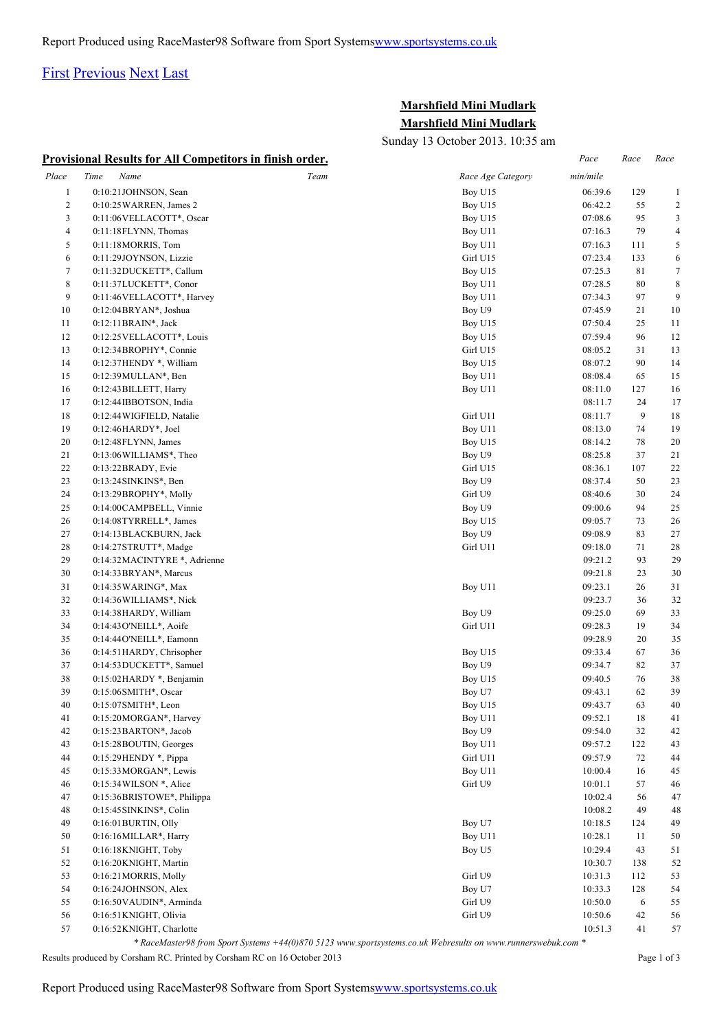## [First](http://www.corshamrunningclub.co.uk/Mudlark/Results/2013/mini-mudlark.html#) [Previous](http://www.corshamrunningclub.co.uk/Mudlark/Results/2013/mini-mudlark.html#) [Next](http://www.corshamrunningclub.co.uk/Mudlark/Results/2013/mini-mudlarkPage2.html) [Last](http://www.corshamrunningclub.co.uk/Mudlark/Results/2013/mini-mudlarkPage3.html)

## **Marshfield Mini Mudlark Marshfield Mini Mudlark**

Sunday 13 October 2013. 10:35 am

|              | <b>Provisional Results for All Competitors in finish order.</b> |                   | Pace     | Race   | Race             |
|--------------|-----------------------------------------------------------------|-------------------|----------|--------|------------------|
| Place        | Time<br>Name<br>Team                                            | Race Age Category | min/mile |        |                  |
| $\mathbf{1}$ | 0:10:21JOHNSON, Sean                                            | Boy U15           | 06:39.6  | 129    | $\mathbf{1}$     |
| 2            | 0:10:25 WARREN, James 2                                         | Boy U15           | 06:42.2  | 55     | $\overline{2}$   |
| 3            | 0:11:06VELLACOTT*, Oscar                                        | Boy U15           | 07:08.6  | 95     | 3                |
| 4            | 0:11:18FLYNN, Thomas                                            | Boy U11           | 07:16.3  | 79     | 4                |
| 5            | 0:11:18MORRIS, Tom                                              | Boy U11           | 07:16.3  | 111    | 5                |
| 6            | 0:11:29JOYNSON, Lizzie                                          | Girl U15          | 07:23.4  | 133    | 6                |
| $\tau$       | 0:11:32DUCKETT*, Callum                                         | Boy U15           | 07:25.3  | 81     | $\boldsymbol{7}$ |
| 8            | 0:11:37LUCKETT*, Conor                                          | Boy U11           | 07:28.5  | 80     | $\,8\,$          |
| 9            | 0:11:46VELLACOTT*, Harvey                                       | Boy U11           | 07:34.3  | 97     | 9                |
| 10           | 0:12:04BRYAN*, Joshua                                           | Boy U9            | 07:45.9  | 21     | 10               |
| 11           | 0:12:11BRAIN*, Jack                                             | Boy U15           | 07:50.4  | 25     | 11               |
| 12           | 0:12:25 VELLACOTT*, Louis                                       | Boy U15           | 07:59.4  | 96     | 12               |
| 13           | 0:12:34BROPHY*, Connie                                          | Girl U15          | 08:05.2  | 31     | 13               |
| 14           | 0:12:37HENDY *, William                                         | Boy U15           | 08:07.2  | 90     | 14               |
| 15           | $0:12:39$ MULLAN*, Ben                                          | Boy U11           | 08:08.4  | 65     | 15               |
| 16           | 0:12:43 BILLETT, Harry                                          | Boy U11           | 08:11.0  | 127    | 16               |
| 17           | 0:12:44IBBOTSON, India                                          |                   | 08:11.7  | 24     | 17               |
| 18           | 0:12:44 WIGFIELD, Natalie                                       | Girl U11          | 08:11.7  | 9      | 18               |
| 19           | 0:12:46HARDY*, Joel                                             | Boy U11           | 08:13.0  | 74     | 19               |
| 20           | 0:12:48FLYNN, James                                             | Boy U15           | 08:14.2  | 78     | 20               |
| 21           | 0:13:06 WILLIAMS*, Theo                                         | Boy U9            | 08:25.8  | 37     | 21               |
| 22           |                                                                 | Girl U15          | 08:36.1  | 107    | 22               |
| 23           | $0:13:22$ BRADY, Evie                                           |                   |          |        |                  |
|              | 0:13:24SINKINS*, Ben                                            | Boy U9            | 08:37.4  | 50     | 23               |
| 24           | 0:13:29BROPHY*, Molly                                           | Girl U9           | 08:40.6  | 30     | 24               |
| 25           | 0:14:00CAMPBELL, Vinnie                                         | Boy U9            | 09:00.6  | 94     | 25               |
| 26           | 0:14:08TYRRELL*, James                                          | Boy U15           | 09:05.7  | 73     | 26               |
| 27           | 0:14:13BLACKBURN, Jack                                          | Boy U9            | 09:08.9  | 83     | 27               |
| 28           | $0:14:27$ STRUTT*, Madge                                        | Girl U11          | 09:18.0  | 71     | 28               |
| 29           | 0:14:32MACINTYRE *, Adrienne                                    |                   | 09:21.2  | 93     | 29               |
| 30           | 0:14:33 BRYAN*, Marcus                                          |                   | 09:21.8  | 23     | 30               |
| 31           | 0:14:35 WARING*, Max                                            | Boy U11           | 09:23.1  | 26     | 31               |
| 32           | 0:14:36WILLIAMS*, Nick                                          |                   | 09:23.7  | 36     | 32               |
| 33           | 0:14:38HARDY, William                                           | Boy U9            | 09:25.0  | 69     | 33               |
| 34           | 0:14:43O'NEILL*, Aoife                                          | Girl U11          | 09:28.3  | 19     | 34               |
| 35           | 0:14:44O'NEILL*, Eamonn                                         |                   | 09:28.9  | 20     | 35               |
| 36           | 0:14:51HARDY, Chrisopher                                        | Boy U15           | 09:33.4  | 67     | 36               |
| 37           | 0:14:53DUCKETT*, Samuel                                         | Boy U9            | 09:34.7  | 82     | 37               |
| 38           | 0:15:02 HARDY *, Benjamin                                       | Boy U15           | 09:40.5  | 76     | 38               |
| 39           | 0:15:06SMITH*, Oscar                                            | Boy U7            | 09:43.1  | 62     | 39               |
| 40           | 0:15:07SMITH*, Leon                                             | Boy U15           | 09:43.7  | 63     | 40               |
| 41           | 0:15:20MORGAN*, Harvey                                          | Boy U11           | 09:52.1  | 18     | 41               |
| 42           | 0:15:23BARTON*, Jacob                                           | Boy U9            | 09:54.0  | 32     | 42               |
| 43           | 0:15:28BOUTIN, Georges                                          | Boy U11           | 09:57.2  | 122    | 43               |
| 44           | $0:15:29$ HENDY $*$ , Pippa                                     | Girl U11          | 09:57.9  | $72\,$ | 44               |
| 45           | 0:15:33MORGAN*, Lewis                                           | Boy U11           | 10:00.4  | 16     | 45               |
| 46           | 0:15:34WILSON *, Alice                                          | Girl U9           | 10:01.1  | 57     | 46               |
| 47           | 0:15:36BRISTOWE*, Philippa                                      |                   | 10:02.4  | 56     | 47               |
| 48           | 0:15:45SINKINS*, Colin                                          |                   | 10:08.2  | 49     | 48               |
| 49           | 0:16:01BURTIN, Olly                                             | Boy U7            | 10:18.5  | 124    | 49               |
| 50           | 0:16:16MILLAR*, Harry                                           | Boy U11           | 10:28.1  | 11     | 50               |
| 51           | 0:16:18KNIGHT, Toby                                             | Boy U5            | 10:29.4  | 43     | 51               |
| 52           | 0:16:20KNIGHT, Martin                                           |                   | 10:30.7  | 138    | 52               |
| 53           | 0:16:21 MORRIS, Molly                                           | Girl U9           | 10:31.3  | 112    | 53               |
| 54           | 0:16:24JOHNSON, Alex                                            | Boy U7            | 10:33.3  | 128    | 54               |
| 55           | 0:16:50VAUDIN*, Arminda                                         | Girl U9           | 10:50.0  | 6      | 55               |
| 56           | 0:16:51 KNIGHT, Olivia                                          | Girl U9           | 10:50.6  | 42     | 56               |
| 57           | 0:16:52KNIGHT, Charlotte                                        |                   | 10:51.3  | 41     | 57               |

*\* RaceMaster98 from Sport Systems +44(0)870 5123 www.sportsystems.co.uk Webresults on www.runnerswebuk.com \**

Results produced by Corsham RC. Printed by Corsham RC on 16 October 2013 Page 1 of 3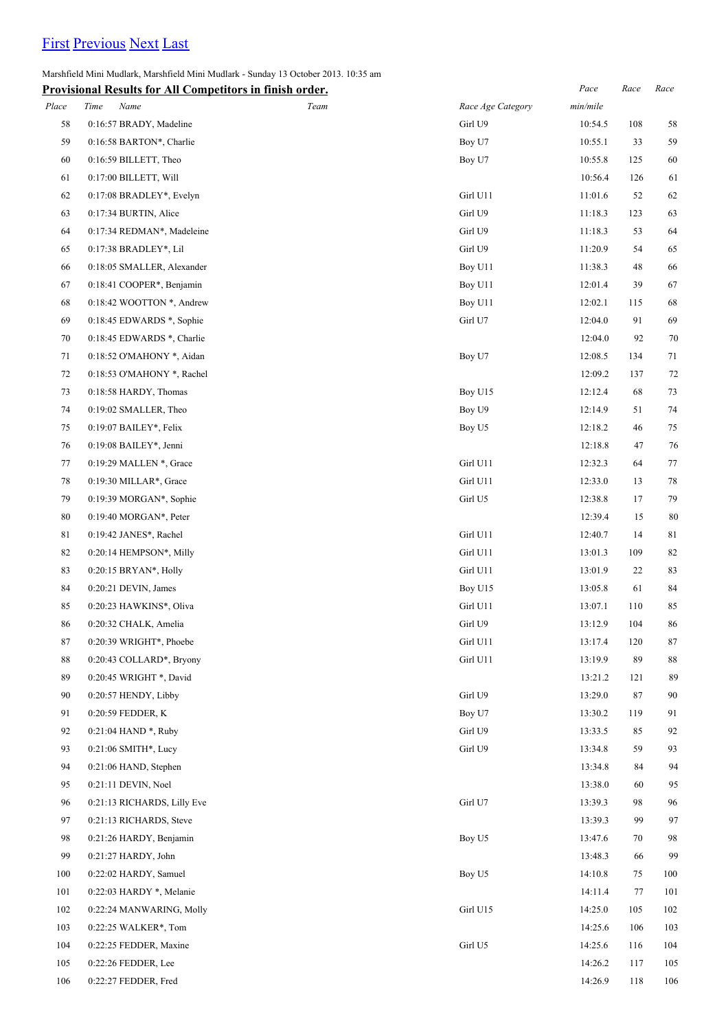## [First](http://www.corshamrunningclub.co.uk/Mudlark/Results/2013/mini-mudlark.html) [Previous](http://www.corshamrunningclub.co.uk/Mudlark/Results/2013/mini-mudlark.html) [Next](http://www.corshamrunningclub.co.uk/Mudlark/Results/2013/mini-mudlarkPage3.html) [Last](http://www.corshamrunningclub.co.uk/Mudlark/Results/2013/mini-mudlarkPage3.html)

Marshfield Mini Mudlark, Marshfield Mini Mudlark - Sunday 13 October 2013. 10:35 am

|       | <b>Provisional Results for All Competitors in finish order.</b> |      |                   | Pace     | Race | Race        |
|-------|-----------------------------------------------------------------|------|-------------------|----------|------|-------------|
| Place | Time<br>Name                                                    | Team | Race Age Category | min/mile |      |             |
| 58    | 0:16:57 BRADY, Madeline                                         |      | Girl U9           | 10:54.5  | 108  | 58          |
| 59    | 0:16:58 BARTON*, Charlie                                        |      | Boy U7            | 10:55.1  | 33   | 59          |
| 60    | 0:16:59 BILLETT, Theo                                           |      | Boy U7            | 10:55.8  | 125  | 60          |
| 61    | 0:17:00 BILLETT, Will                                           |      |                   | 10:56.4  | 126  | 61          |
| 62    | 0:17:08 BRADLEY*, Evelyn                                        |      | Girl U11          | 11:01.6  | 52   | 62          |
| 63    | 0:17:34 BURTIN, Alice                                           |      | Girl U9           | 11:18.3  | 123  | 63          |
| 64    | 0:17:34 REDMAN*, Madeleine                                      |      | Girl U9           | 11:18.3  | 53   | 64          |
| 65    | 0:17:38 BRADLEY*, Lil                                           |      | Girl U9           | 11:20.9  | 54   | 65          |
| 66    | 0:18:05 SMALLER, Alexander                                      |      | Boy U11           | 11:38.3  | 48   | 66          |
| 67    | 0:18:41 COOPER*, Benjamin                                       |      | Boy U11           | 12:01.4  | 39   | 67          |
| 68    | 0:18:42 WOOTTON *, Andrew                                       |      | Boy U11           | 12:02.1  | 115  | 68          |
| 69    | $0:18:45$ EDWARDS $*$ , Sophie                                  |      | Girl U7           | 12:04.0  | 91   | 69          |
| 70    | 0:18:45 EDWARDS *, Charlie                                      |      |                   | 12:04.0  | 92   | 70          |
| 71    | 0:18:52 O'MAHONY *, Aidan                                       |      | Boy U7            | 12:08.5  | 134  | 71          |
| 72    | 0:18:53 O'MAHONY *, Rachel                                      |      |                   | 12:09.2  | 137  | 72          |
| 73    | 0:18:58 HARDY, Thomas                                           |      | Boy U15           | 12:12.4  | 68   | 73          |
| 74    | 0:19:02 SMALLER, Theo                                           |      | Boy U9            | 12:14.9  | 51   | 74          |
| 75    | 0:19:07 BAILEY*, Felix                                          |      | Boy U5            | 12:18.2  | 46   | 75          |
| 76    | 0:19:08 BAILEY*, Jenni                                          |      |                   | 12:18.8  | 47   | 76          |
| 77    | 0:19:29 MALLEN *, Grace                                         |      | Girl U11          | 12:32.3  | 64   | 77          |
| 78    | 0:19:30 MILLAR*, Grace                                          |      | Girl U11          | 12:33.0  | 13   | 78          |
| 79    | 0:19:39 MORGAN*, Sophie                                         |      | Girl U5           | 12:38.8  | 17   | 79          |
| 80    | $0:19:40$ MORGAN*, Peter                                        |      |                   | 12:39.4  | 15   | 80          |
| 81    | 0:19:42 JANES*, Rachel                                          |      | Girl U11          | 12:40.7  | 14   | $8\sqrt{1}$ |
| 82    | 0:20:14 HEMPSON*, Milly                                         |      | Girl U11          | 13:01.3  | 109  | 82          |
| 83    | $0:20:15$ BRYAN*, Holly                                         |      | Girl U11          | 13:01.9  | 22   | 83          |
| 84    | 0:20:21 DEVIN, James                                            |      | Boy U15           | 13:05.8  | 61   | 84          |
| 85    | 0:20:23 HAWKINS*, Oliva                                         |      | Girl U11          | 13:07.1  | 110  | 85          |
| 86    | 0:20:32 CHALK, Amelia                                           |      | Girl U9           | 13:12.9  | 104  | 86          |
| 87    | 0:20:39 WRIGHT*, Phoebe                                         |      | Girl U11          | 13:17.4  | 120  | $87\,$      |
| 88    | 0:20:43 COLLARD*, Bryony                                        |      | Girl U11          | 13:19.9  | 89   | 88          |
| 89    | 0:20:45 WRIGHT *, David                                         |      |                   | 13:21.2  | 121  | 89          |
| 90    | 0:20:57 HENDY, Libby                                            |      | Girl U9           | 13:29.0  | 87   | 90          |
| 91    | 0:20:59 FEDDER, K                                               |      | Boy U7            | 13:30.2  | 119  | 91          |
| 92    | 0:21:04 HAND *, Ruby                                            |      | Girl U9           | 13:33.5  | 85   | 92          |
| 93    | 0:21:06 SMITH*, Lucy                                            |      | Girl U9           | 13:34.8  | 59   | 93          |
| 94    | 0:21:06 HAND, Stephen                                           |      |                   | 13:34.8  | 84   | 94          |
| 95    | 0:21:11 DEVIN, Noel                                             |      |                   | 13:38.0  | 60   | 95          |
| 96    | 0:21:13 RICHARDS, Lilly Eve                                     |      | Girl U7           | 13:39.3  | 98   | 96          |
| 97    | 0:21:13 RICHARDS, Steve                                         |      |                   | 13:39.3  | 99   | 97          |
| 98    | 0:21:26 HARDY, Benjamin                                         |      | Boy U5            | 13:47.6  | 70   | 98          |
| 99    | 0:21:27 HARDY, John                                             |      |                   | 13:48.3  | 66   | 99          |
| 100   | 0:22:02 HARDY, Samuel                                           |      | Boy U5            | 14:10.8  | 75   | 100         |
| 101   | 0:22:03 HARDY *, Melanie                                        |      |                   | 14:11.4  | 77   | 101         |
| 102   | 0:22:24 MANWARING, Molly                                        |      | Girl U15          | 14:25.0  | 105  | 102         |
| 103   | 0:22:25 WALKER*, Tom                                            |      |                   | 14:25.6  | 106  | 103         |
| 104   | 0:22:25 FEDDER, Maxine                                          |      | Girl U5           | 14:25.6  | 116  | 104         |
| 105   | 0:22:26 FEDDER, Lee                                             |      |                   | 14:26.2  | 117  | 105         |
| 106   | 0:22:27 FEDDER, Fred                                            |      |                   | 14:26.9  | 118  | 106         |